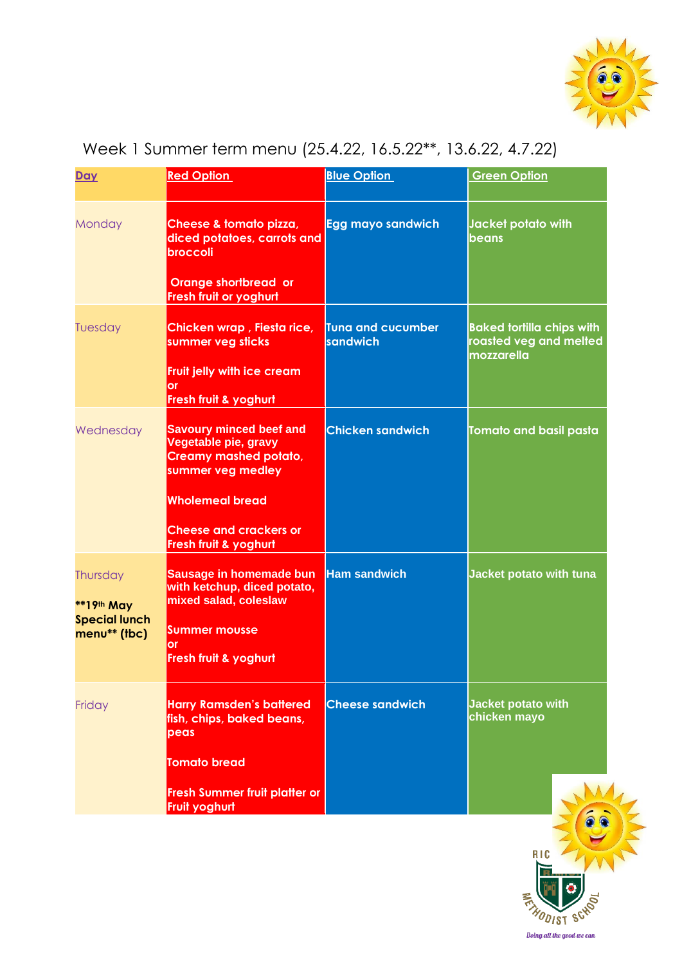

## Week 1 Summer term menu (25.4.22, 16.5.22\*\*, 13.6.22, 4.7.22)

| <u>Day</u>                                                     | <b>Red Option</b>                                                                                                                                                                               | <b>Blue Option</b>                   | <b>Green Option</b>                                                      |
|----------------------------------------------------------------|-------------------------------------------------------------------------------------------------------------------------------------------------------------------------------------------------|--------------------------------------|--------------------------------------------------------------------------|
| Monday                                                         | Cheese & tomato pizza,<br>diced potatoes, carrots and<br>broccoli<br>Orange shortbread or<br><b>Fresh fruit or yoghurt</b>                                                                      | <b>Egg mayo sandwich</b>             | Jacket potato with<br>beans                                              |
| Tuesday                                                        | Chicken wrap, Fiesta rice,<br>summer veg sticks<br>Fruit jelly with ice cream<br>or<br>Fresh fruit & yoghurt                                                                                    | <b>Tuna and cucumber</b><br>sandwich | <b>Baked tortilla chips with</b><br>roasted veg and melted<br>mozzarella |
| Wednesday                                                      | <b>Savoury minced beef and</b><br>Vegetable pie, gravy<br><b>Creamy mashed potato,</b><br>summer veg medley<br><b>Wholemeal bread</b><br><b>Cheese and crackers or</b><br>Fresh fruit & yoghurt | <b>Chicken sandwich</b>              | Tomato and basil pasta                                                   |
| Thursday<br>**19th May<br><b>Special lunch</b><br>menu** (tbc) | Sausage in homemade bun<br>with ketchup, diced potato,<br>mixed salad, coleslaw<br><b>Summer mousse</b><br>or<br>Fresh fruit & yoghurt                                                          | <b>Ham sandwich</b>                  | <b>Jacket potato with tuna</b>                                           |
| Friday                                                         | <b>Harry Ramsden's battered</b><br>fish, chips, baked beans,<br>peas<br><b>Tomato bread</b><br><b>Fresh Summer fruit platter or</b><br><b>Fruit yoghurt</b>                                     | <b>Cheese sandwich</b>               | <b>Jacket potato with</b><br>chicken mayo                                |



Doing all the good we can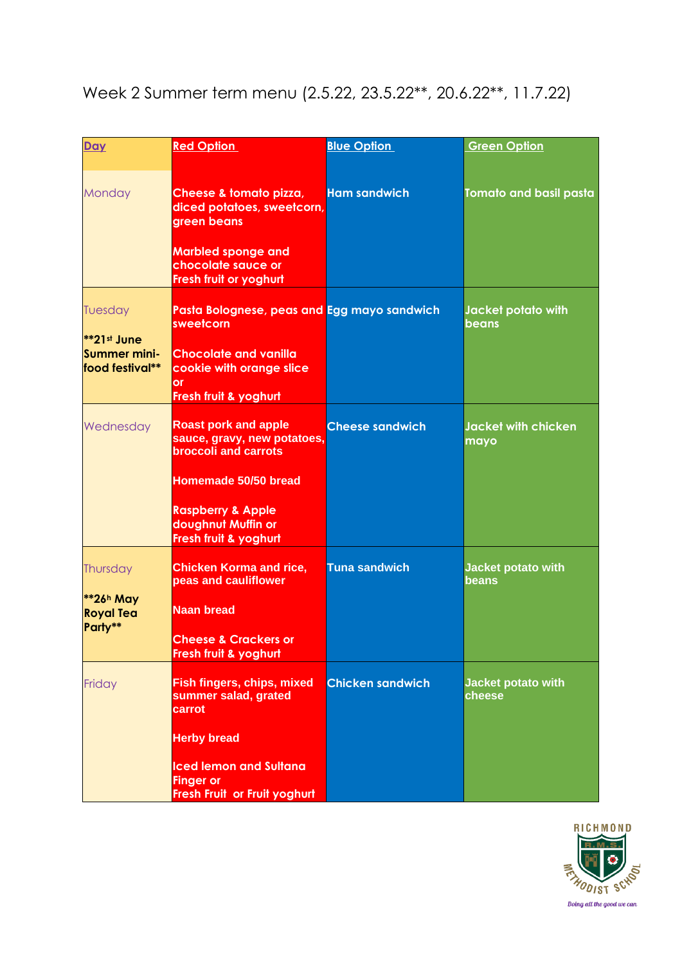Week 2 Summer term menu (2.5.22, 23.5.22\*\*, 20.6.22\*\*, 11.7.22)

| <b>Day</b>                                                   | <b>Red Option</b>                                                                         | <b>Blue Option</b>      | <b>Green Option</b>                 |
|--------------------------------------------------------------|-------------------------------------------------------------------------------------------|-------------------------|-------------------------------------|
| Monday                                                       | Cheese & tomato pizza,<br>diced potatoes, sweetcorn,<br>green beans                       | <b>Ham sandwich</b>     | <b>Tomato and basil pasta</b>       |
|                                                              | <b>Marbled sponge and</b><br>chocolate sauce or<br><b>Fresh fruit or yoghurt</b>          |                         |                                     |
| Tuesday                                                      | Pasta Bolognese, peas and Egg mayo sandwich<br>sweetcorn                                  |                         | Jacket potato with<br>beans         |
| <b>**21st June</b><br><b>Summer mini-</b><br>food festival** | <b>Chocolate and vanilla</b><br>cookie with orange slice                                  |                         |                                     |
|                                                              | or<br><b>Fresh fruit &amp; yoghurt</b>                                                    |                         |                                     |
| Wednesday                                                    | <b>Roast pork and apple</b><br>sauce, gravy, new potatoes,<br><b>broccoli and carrots</b> | <b>Cheese sandwich</b>  | <b>Jacket with chicken</b><br>mayo  |
|                                                              | Homemade 50/50 bread                                                                      |                         |                                     |
|                                                              | <b>Raspberry &amp; Apple</b><br>doughnut Muffin or<br>Fresh fruit & yoghurt               |                         |                                     |
| Thursday                                                     | <b>Chicken Korma and rice,</b><br>peas and cauliflower                                    | <b>Tuna sandwich</b>    | <b>Jacket potato with</b><br>beans  |
| **26 <sup>h</sup> May<br><b>Royal Tea</b><br>Party**         | <b>Naan bread</b>                                                                         |                         |                                     |
|                                                              | <b>Cheese &amp; Crackers or</b><br>Fresh fruit & yoghurt                                  |                         |                                     |
| Friday                                                       | <b>Fish fingers, chips, mixed</b><br>summer salad, grated<br>carrot                       | <b>Chicken sandwich</b> | <b>Jacket potato with</b><br>cheese |
|                                                              | <b>Herby bread</b>                                                                        |                         |                                     |
|                                                              | <b>Iced lemon and Sultana</b><br><b>Finger or</b><br>Fresh Fruit or Fruit yoghurt         |                         |                                     |